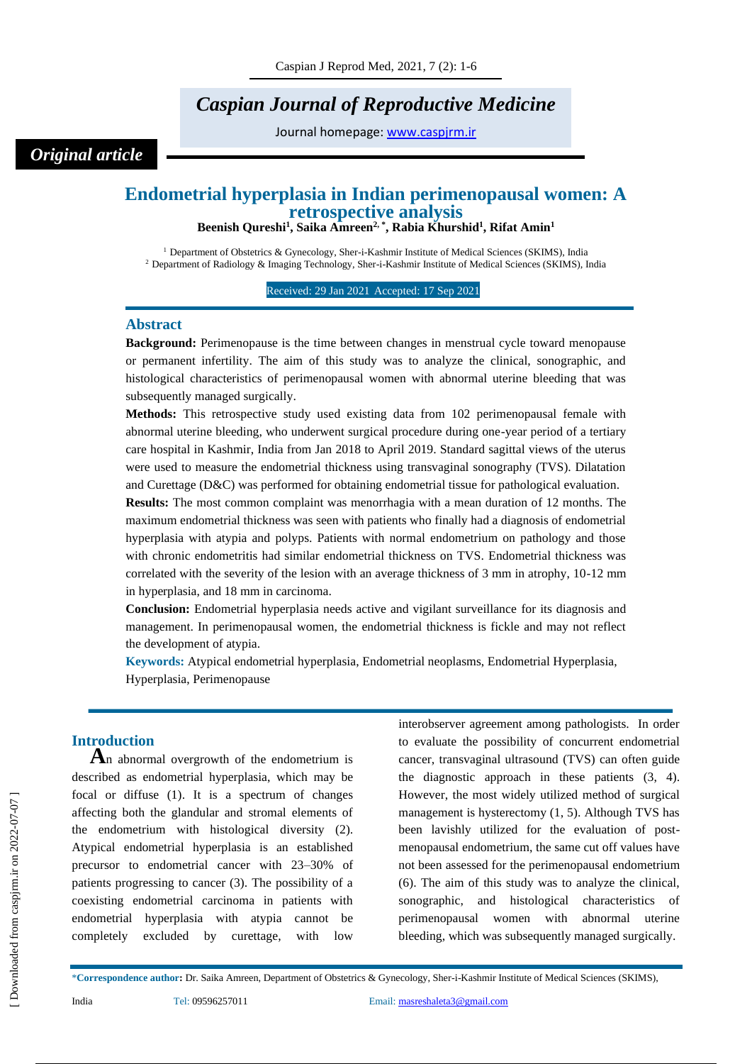# *Caspian Journal of Reproductive Medicine*

Journal homepage: [www.caspjrm.ir](http://www.caspjrm.ir/)

## *Original article*

## **Endometrial hyperplasia in Indian perimenopausal women: A retrospective analysis**

**Beenish Qureshi<sup>1</sup> , Saika Amreen2, \* , Rabia Khurshid<sup>1</sup> , Rifat Amin<sup>1</sup>**

<sup>1</sup> Department of Obstetrics & Gynecology, Sher-i-Kashmir Institute of Medical Sciences (SKIMS), India <sup>2</sup> Department of Radiology & Imaging Technology, Sher-i-Kashmir Institute of Medical Sciences (SKIMS), India

Received: 29 Jan 2021 Accepted: 17 Sep 2021

#### **Abstract**

**Background:** Perimenopause is the time between changes in menstrual cycle toward menopause or permanent infertility. The aim of this study was to analyze the clinical, sonographic, and histological characteristics of perimenopausal women with abnormal uterine bleeding that was subsequently managed surgically.

**Methods:** This retrospective study used existing data from 102 perimenopausal female with abnormal uterine bleeding, who underwent surgical procedure during one-year period of a tertiary care hospital in Kashmir, India from Jan 2018 to April 2019. Standard sagittal views of the uterus were used to measure the endometrial thickness using transvaginal sonography (TVS). Dilatation and Curettage (D&C) was performed for obtaining endometrial tissue for pathological evaluation.

**Results:** The most common complaint was menorrhagia with a mean duration of 12 months. The maximum endometrial thickness was seen with patients who finally had a diagnosis of endometrial hyperplasia with atypia and polyps. Patients with normal endometrium on pathology and those with chronic endometritis had similar endometrial thickness on TVS. Endometrial thickness was correlated with the severity of the lesion with an average thickness of 3 mm in atrophy, 10-12 mm in hyperplasia, and 18 mm in carcinoma.

**Conclusion:** Endometrial hyperplasia needs active and vigilant surveillance for its diagnosis and management. In perimenopausal women, the endometrial thickness is fickle and may not reflect the development of atypia.

**Keywords:** Atypical endometrial hyperplasia, Endometrial neoplasms, Endometrial Hyperplasia, Hyperplasia, Perimenopause

## **Introduction**

**A**n abnormal overgrowth of the endometrium is described as endometrial hyperplasia, which may be focal or diffuse (1). It is a spectrum of changes affecting both the glandular and stromal elements of the endometrium with histological diversity (2). Atypical endometrial hyperplasia is an established precursor to endometrial cancer with 23–30% of patients progressing to cancer (3). The possibility of a coexisting endometrial carcinoma in patients with endometrial hyperplasia with atypia cannot be completely excluded by curettage, with low

interobserver agreement among pathologists. In order to evaluate the possibility of concurrent endometrial cancer, transvaginal ultrasound (TVS) can often guide the diagnostic approach in these patients (3, 4). However, the most widely utilized method of surgical management is hysterectomy (1, 5). Although TVS has been lavishly utilized for the evaluation of postmenopausal endometrium, the same cut off values have not been assessed for the perimenopausal endometrium (6). The aim of this study was to analyze the clinical, sonographic, and histological characteristics perimenopausal women with abnormal uterine bleeding, which was subsequently managed surgically.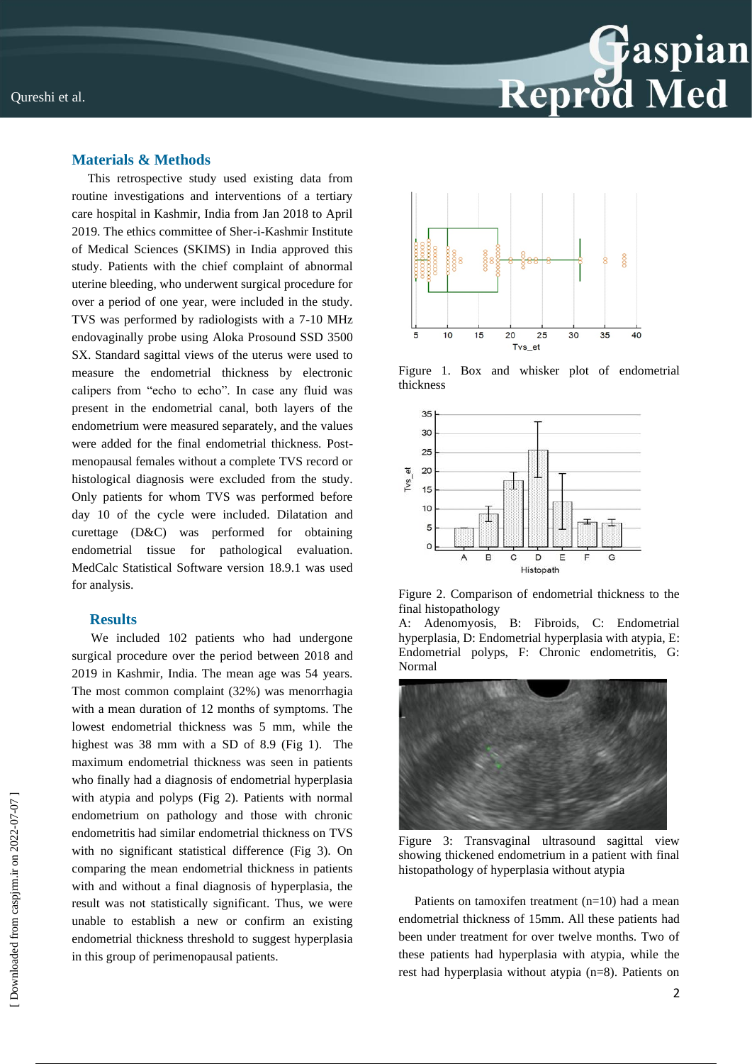

## **Materials & Methods**

 This retrospective study used existing data from routine investigations and interventions of a tertiary care hospital in Kashmir, India from Jan 2018 to April 2019. The ethics committee of Sher-i-Kashmir Institute of Medical Sciences (SKIMS) in India approved this study. Patients with the chief complaint of abnormal uterine bleeding, who underwent surgical procedure for over a period of one year, were included in the study. TVS was performed by radiologists with a 7-10 MHz endovaginally probe using Aloka Prosound SSD 3500 SX. Standard sagittal views of the uterus were used to measure the endometrial thickness by electronic calipers from "echo to echo". In case any fluid was present in the endometrial canal, both layers of the endometrium were measured separately, and the values were added for the final endometrial thickness. Postmenopausal females without a complete TVS record or histological diagnosis were excluded from the study. Only patients for whom TVS was performed before day 10 of the cycle were included. Dilatation and curettage (D&C) was performed for obtaining endometrial tissue for pathological evaluation. MedCalc Statistical Software version 18.9.1 was used for analysis.

#### **Results**

 We included 102 patients who had undergone surgical procedure over the period between 2018 and 2019 in Kashmir, India. The mean age was 54 years. The most common complaint (32%) was menorrhagia with a mean duration of 12 months of symptoms. The lowest endometrial thickness was 5 mm, while the highest was 38 mm with a SD of 8.9 (Fig 1). The maximum endometrial thickness was seen in patients who finally had a diagnosis of endometrial hyperplasia with atypia and polyps (Fig 2). Patients with normal endometrium on pathology and those with chronic endometritis had similar endometrial thickness on TVS with no significant statistical difference (Fig 3). On comparing the mean endometrial thickness in patients with and without a final diagnosis of hyperplasia, the result was not statistically significant. Thus, we were unable to establish a new or confirm an existing endometrial thickness threshold to suggest hyperplasia in this group of perimenopausal patients.



Figure 1. Box and whisker plot of endometrial thickness



Figure 2. Comparison of endometrial thickness to the final histopathology

Adenomyosis, B: Fibroids, C: Endometrial hyperplasia, D: Endometrial hyperplasia with atypia, E: Endometrial polyps, F: Chronic endometritis, G: Normal



Figure 3: Transvaginal ultrasound sagittal view showing thickened endometrium in a patient with final histopathology of hyperplasia without atypia

 Patients on tamoxifen treatment (n=10) had a mean endometrial thickness of 15mm. All these patients had been under treatment for over twelve months. Two of these patients had hyperplasia with atypia, while the rest had hyperplasia without atypia (n=8). Patients on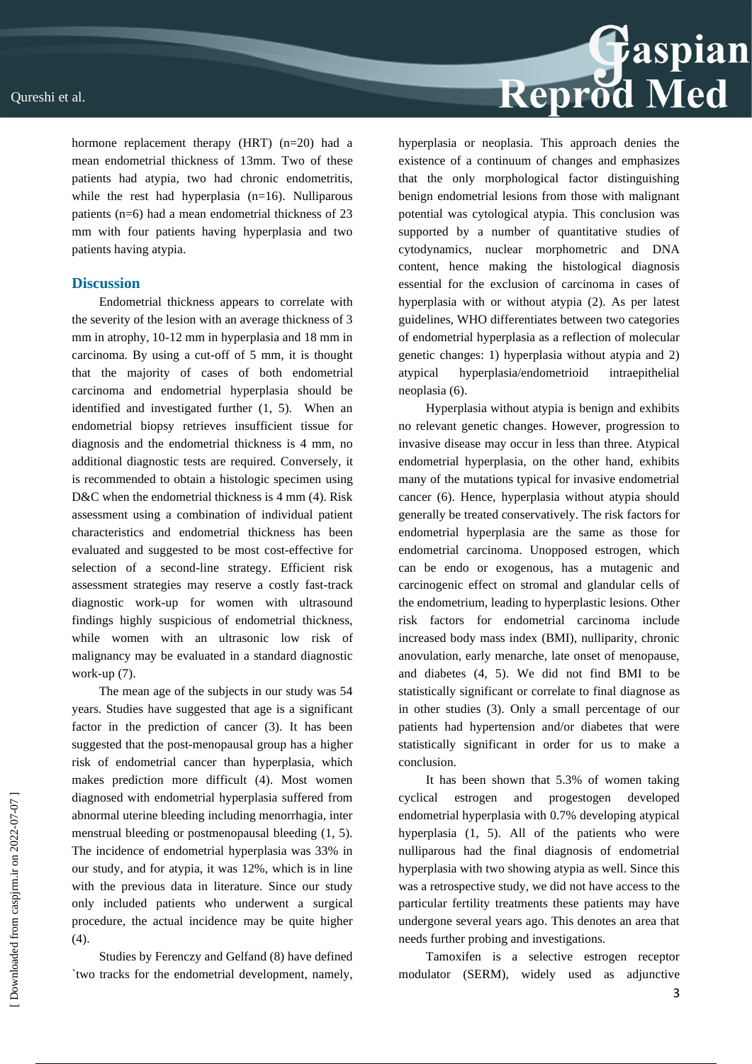hormone replacement therapy (HRT) (n=20) had a mean endometrial thickness of 13mm. Two of these patients had atypia, two had chronic endometritis, while the rest had hyperplasia  $(n=16)$ . Nulliparous patients (n=6) had a mean endometrial thickness of 23 mm with four patients having hyperplasia and two patients having atypia.

### **Discussion**

Endometrial thickness appears to correlate with the severity of the lesion with an average thickness of 3 mm in atrophy, 10-12 mm in hyperplasia and 18 mm in carcinoma. By using a cut-off of 5 mm, it is thought that the majority of cases of both endometrial carcinoma and endometrial hyperplasia should be identified and investigated further (1, 5). When an endometrial biopsy retrieves insufficient tissue for diagnosis and the endometrial thickness is 4 mm, no additional diagnostic tests are required. Conversely, it is recommended to obtain a histologic specimen using D&C when the endometrial thickness is 4 mm (4). Risk assessment using a combination of individual patient characteristics and endometrial thickness has been evaluated and suggested to be most cost-effective for selection of a second-line strategy. Efficient risk assessment strategies may reserve a costly fast-track diagnostic work-up for women with ultrasound findings highly suspicious of endometrial thickness, while women with an ultrasonic low risk of malignancy may be evaluated in a standard diagnostic work-up (7).

The mean age of the subjects in our study was 54 years. Studies have suggested that age is a significant factor in the prediction of cancer (3). It has been suggested that the post-menopausal group has a higher risk of endometrial cancer than hyperplasia, which makes prediction more difficult (4). Most women diagnosed with endometrial hyperplasia suffered from abnormal uterine bleeding including menorrhagia, inter menstrual bleeding or postmenopausal bleeding (1, 5). The incidence of endometrial hyperplasia was 33% in our study, and for atypia, it was 12%, which is in line with the previous data in literature. Since our study only included patients who underwent a surgical procedure, the actual incidence may be quite higher (4).

Studies by Ferenczy and Gelfand (8) have defined `two tracks for the endometrial development, namely, hyperplasia or neoplasia. This approach denies the existence of a continuum of changes and emphasizes that the only morphological factor distinguishing benign endometrial lesions from those with malignant potential was cytological atypia. This conclusion was supported by a number of quantitative studies of cytodynamics, nuclear morphometric and DNA content, hence making the histological diagnosis essential for the exclusion of carcinoma in cases of hyperplasia with or without atypia (2). As per latest guidelines, WHO differentiates between two categories of endometrial hyperplasia as a reflection of molecular genetic changes: 1) hyperplasia without atypia and 2) atypical hyperplasia/endometrioid intraepithelial neoplasia (6).

Reprod Med

Hyperplasia without atypia is benign and exhibits no relevant genetic changes. However, progression to invasive disease may occur in less than three. Atypical endometrial hyperplasia, on the other hand, exhibits many of the mutations typical for invasive endometrial cancer (6). Hence, hyperplasia without atypia should generally be treated conservatively. The risk factors for endometrial hyperplasia are the same as those for endometrial carcinoma. Unopposed estrogen, which can be endo or exogenous, has a mutagenic and carcinogenic effect on stromal and glandular cells of the endometrium, leading to hyperplastic lesions. Other risk factors for endometrial carcinoma include increased body mass index (BMI), nulliparity, chronic anovulation, early menarche, late onset of menopause, and diabetes (4, 5). We did not find BMI to be statistically significant or correlate to final diagnose as in other studies (3). Only a small percentage of our patients had hypertension and/or diabetes that were statistically significant in order for us to make a conclusion.

It has been shown that 5.3% of women taking cyclical estrogen and progestogen developed endometrial hyperplasia with 0.7% developing atypical hyperplasia (1, 5). All of the patients who were nulliparous had the final diagnosis of endometrial hyperplasia with two showing atypia as well. Since this was a retrospective study, we did not have access to the particular fertility treatments these patients may have undergone several years ago. This denotes an area that needs further probing and investigations.

Tamoxifen is a selective estrogen receptor modulator (SERM), widely used as adjunctive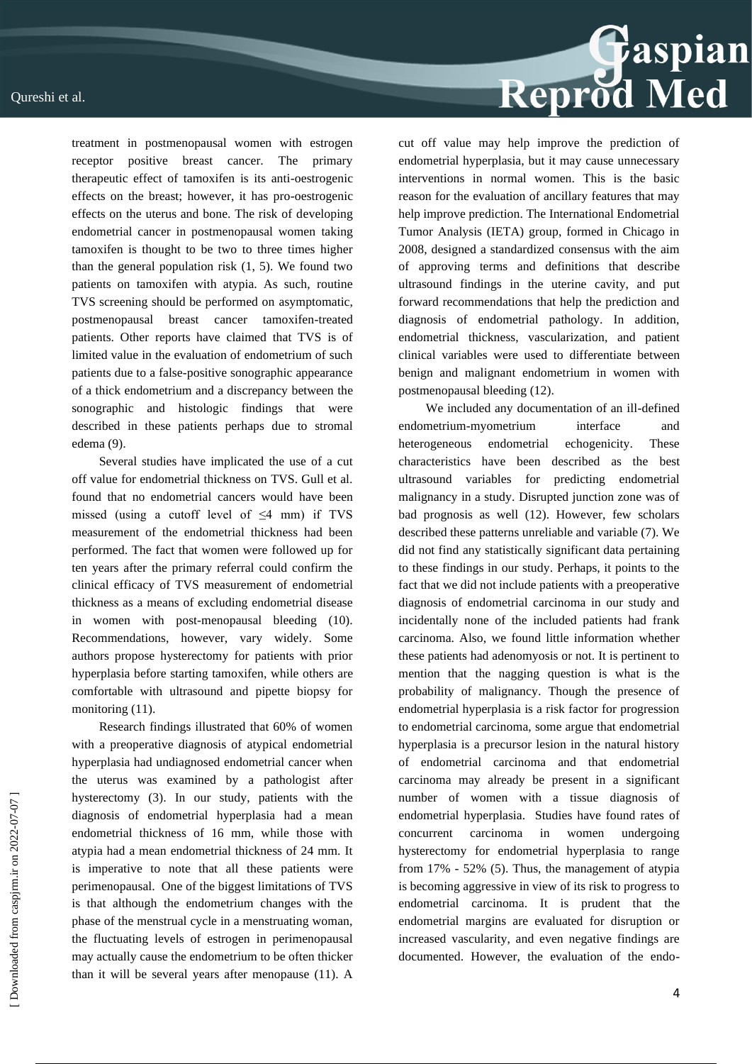

treatment in postmenopausal women with estrogen receptor positive breast cancer. The primary therapeutic effect of tamoxifen is its anti-oestrogenic effects on the breast; however, it has pro-oestrogenic effects on the uterus and bone. The risk of developing endometrial cancer in postmenopausal women taking tamoxifen is thought to be two to three times higher than the general population risk  $(1, 5)$ . We found two patients on tamoxifen with atypia. As such, routine TVS screening should be performed on asymptomatic, postmenopausal breast cancer tamoxifen-treated patients. Other reports have claimed that TVS is of limited value in the evaluation of endometrium of such patients due to a false-positive sonographic appearance of a thick endometrium and a discrepancy between the sonographic and histologic findings that were described in these patients perhaps due to stromal edema (9).

Several studies have implicated the use of a cut off value for endometrial thickness on TVS. Gull et al. found that no endometrial cancers would have been missed (using a cutoff level of  $\leq$ 4 mm) if TVS measurement of the endometrial thickness had been performed. The fact that women were followed up for ten years after the primary referral could confirm the clinical efficacy of TVS measurement of endometrial thickness as a means of excluding endometrial disease in women with post-menopausal bleeding (10). Recommendations, however, vary widely. Some authors propose hysterectomy for patients with prior hyperplasia before starting tamoxifen, while others are comfortable with ultrasound and pipette biopsy for monitoring  $(11)$ .

Research findings illustrated that 60% of women with a preoperative diagnosis of atypical endometrial hyperplasia had undiagnosed endometrial cancer when the uterus was examined by a pathologist after hysterectomy (3). In our study, patients with the diagnosis of endometrial hyperplasia had a mean endometrial thickness of 16 mm, while those with atypia had a mean endometrial thickness of 24 mm. It is imperative to note that all these patients were perimenopausal. One of the biggest limitations of TVS is that although the endometrium changes with the phase of the menstrual cycle in a menstruating woman, the fluctuating levels of estrogen in perimenopausal may actually cause the endometrium to be often thicker than it will be several years after menopause (11). A cut off value may help improve the prediction of endometrial hyperplasia, but it may cause unnecessary interventions in normal women. This is the basic reason for the evaluation of ancillary features that may help improve prediction. The International Endometrial Tumor Analysis (IETA) group, formed in Chicago in 2008, designed a standardized consensus with the aim of approving terms and definitions that describe ultrasound findings in the uterine cavity, and put forward recommendations that help the prediction and diagnosis of endometrial pathology. In addition, endometrial thickness, vascularization, and patient clinical variables were used to differentiate between benign and malignant endometrium in women with postmenopausal bleeding (12).

We included any documentation of an ill-defined endometrium-myometrium interface and heterogeneous endometrial echogenicity. These characteristics have been described as the best ultrasound variables for predicting endometrial malignancy in a study. Disrupted junction zone was of bad prognosis as well (12). However, few scholars described these patterns unreliable and variable (7). We did not find any statistically significant data pertaining to these findings in our study. Perhaps, it points to the fact that we did not include patients with a preoperative diagnosis of endometrial carcinoma in our study and incidentally none of the included patients had frank carcinoma. Also, we found little information whether these patients had adenomyosis or not. It is pertinent to mention that the nagging question is what is the probability of malignancy. Though the presence of endometrial hyperplasia is a risk factor for progression to endometrial carcinoma, some argue that endometrial hyperplasia is a precursor lesion in the natural history of endometrial carcinoma and that endometrial carcinoma may already be present in a significant number of women with a tissue diagnosis of endometrial hyperplasia. Studies have found rates of concurrent carcinoma in women undergoing hysterectomy for endometrial hyperplasia to range from 17% - 52% (5). Thus, the management of atypia is becoming aggressive in view of its risk to progress to endometrial carcinoma. It is prudent that the endometrial margins are evaluated for disruption or increased vascularity, and even negative findings are documented. However, the evaluation of the endo-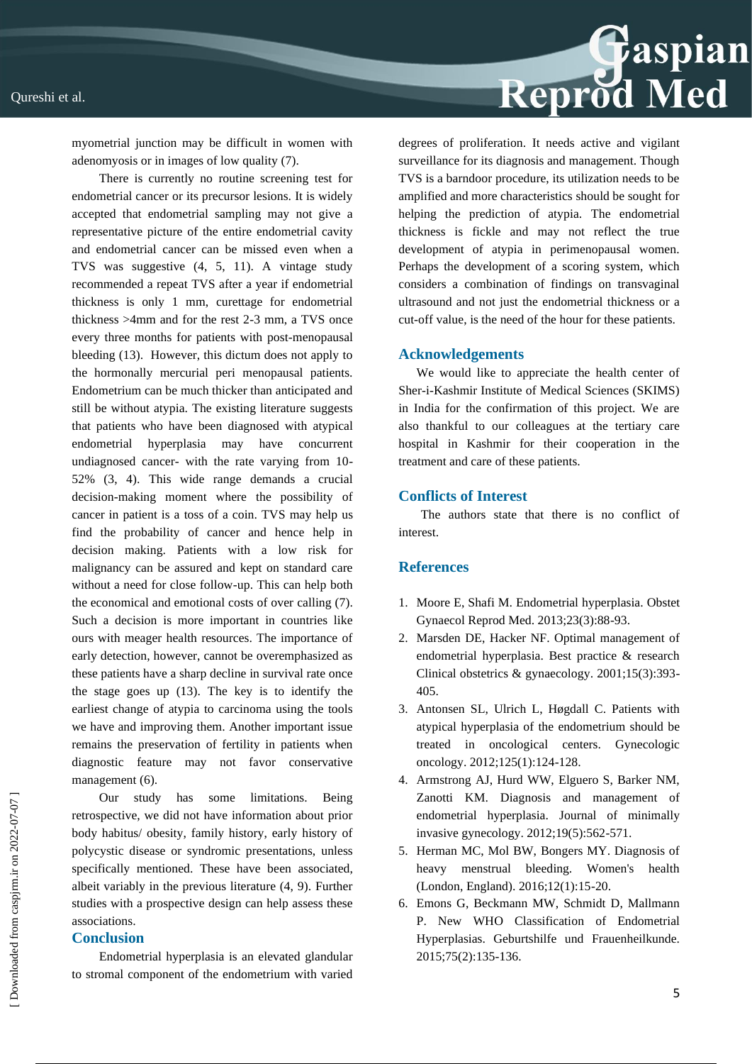

myometrial junction may be difficult in women with adenomyosis or in images of low quality (7).

There is currently no routine screening test for endometrial cancer or its precursor lesions. It is widely accepted that endometrial sampling may not give a representative picture of the entire endometrial cavity and endometrial cancer can be missed even when a TVS was suggestive (4, 5, 11). A vintage study recommended a repeat TVS after a year if endometrial thickness is only 1 mm, curettage for endometrial thickness >4mm and for the rest 2-3 mm, a TVS once every three months for patients with post-menopausal bleeding (13). However, this dictum does not apply to the hormonally mercurial peri menopausal patients. Endometrium can be much thicker than anticipated and still be without atypia. The existing literature suggests that patients who have been diagnosed with atypical endometrial hyperplasia may have concurrent undiagnosed cancer- with the rate varying from 10- 52% (3, 4). This wide range demands a crucial decision-making moment where the possibility of cancer in patient is a toss of a coin. TVS may help us find the probability of cancer and hence help in decision making. Patients with a low risk for malignancy can be assured and kept on standard care without a need for close follow-up. This can help both the economical and emotional costs of over calling (7). Such a decision is more important in countries like ours with meager health resources. The importance of early detection, however, cannot be overemphasized as these patients have a sharp decline in survival rate once the stage goes up (13). The key is to identify the earliest change of atypia to carcinoma using the tools we have and improving them. Another important issue remains the preservation of fertility in patients when diagnostic feature may not favor conservative management (6).

Our study has some limitations. Being retrospective, we did not have information about prior body habitus/ obesity, family history, early history of polycystic disease or syndromic presentations, unless specifically mentioned. These have been associated, albeit variably in the previous literature (4, 9). Further studies with a prospective design can help assess these associations.

#### **Conclusion**

Endometrial hyperplasia is an elevated glandular to stromal component of the endometrium with varied degrees of proliferation. It needs active and vigilant surveillance for its diagnosis and management. Though TVS is a barndoor procedure, its utilization needs to be amplified and more characteristics should be sought for helping the prediction of atypia. The endometrial thickness is fickle and may not reflect the true development of atypia in perimenopausal women. Perhaps the development of a scoring system, which considers a combination of findings on transvaginal ultrasound and not just the endometrial thickness or a cut-off value, is the need of the hour for these patients.

#### **Acknowledgements**

We would like to appreciate the health center of Sher-i-Kashmir Institute of Medical Sciences (SKIMS) in India for the confirmation of this project. We are also thankful to our colleagues at the tertiary care hospital in Kashmir for their cooperation in the treatment and care of these patients.

### **Conflicts of Interest**

 The authors state that there is no conflict of interest.

#### **References**

- 1. Moore E, Shafi M. Endometrial hyperplasia. Obstet Gynaecol Reprod Med. 2013;23(3):88-93.
- 2. Marsden DE, Hacker NF. Optimal management of endometrial hyperplasia. Best practice & research Clinical obstetrics & gynaecology. 2001;15(3):393- 405.
- 3. Antonsen SL, Ulrich L, Høgdall C. Patients with atypical hyperplasia of the endometrium should be treated in oncological centers. Gynecologic oncology. 2012;125(1):124-128.
- 4. Armstrong AJ, Hurd WW, Elguero S, Barker NM, Zanotti KM. Diagnosis and management of endometrial hyperplasia. Journal of minimally invasive gynecology. 2012;19(5):562-571.
- 5. Herman MC, Mol BW, Bongers MY. Diagnosis of heavy menstrual bleeding. Women's health (London, England). 2016;12(1):15-20.
- 6. Emons G, Beckmann MW, Schmidt D, Mallmann P. New WHO Classification of Endometrial Hyperplasias. Geburtshilfe und Frauenheilkunde. 2015;75(2):135-136.